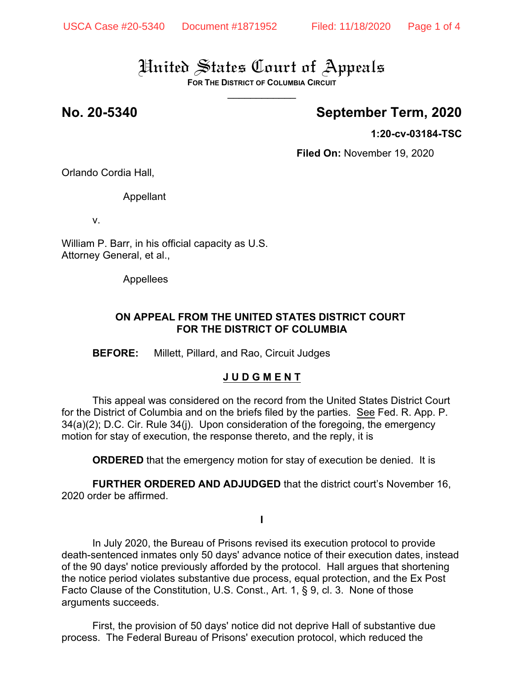**FOR THE DISTRICT OF COLUMBIA CIRCUIT** \_\_\_\_\_\_\_\_\_\_\_\_

## **No. 20-5340 September Term, 2020**

**1:20-cv-03184-TSC**

**Filed On:** November 19, 2020

Orlando Cordia Hall,

Appellant

v.

William P. Barr, in his official capacity as U.S. Attorney General, et al.,

Appellees

### **ON APPEAL FROM THE UNITED STATES DISTRICT COURT FOR THE DISTRICT OF COLUMBIA**

**BEFORE:** Millett, Pillard, and Rao, Circuit Judges

### **J U D G M E N T**

This appeal was considered on the record from the United States District Court for the District of Columbia and on the briefs filed by the parties. See Fed. R. App. P.  $34(a)(2)$ ; D.C. Cir. Rule  $34(i)$ . Upon consideration of the foregoing, the emergency motion for stay of execution, the response thereto, and the reply, it is

**ORDERED** that the emergency motion for stay of execution be denied. It is

**FURTHER ORDERED AND ADJUDGED** that the district court's November 16, 2020 order be affirmed.

**I**

In July 2020, the Bureau of Prisons revised its execution protocol to provide death-sentenced inmates only 50 days' advance notice of their execution dates, instead of the 90 days' notice previously afforded by the protocol. Hall argues that shortening the notice period violates substantive due process, equal protection, and the Ex Post Facto Clause of the Constitution, U.S. Const., Art. 1, § 9, cl. 3. None of those arguments succeeds.

First, the provision of 50 days' notice did not deprive Hall of substantive due process. The Federal Bureau of Prisons' execution protocol, which reduced the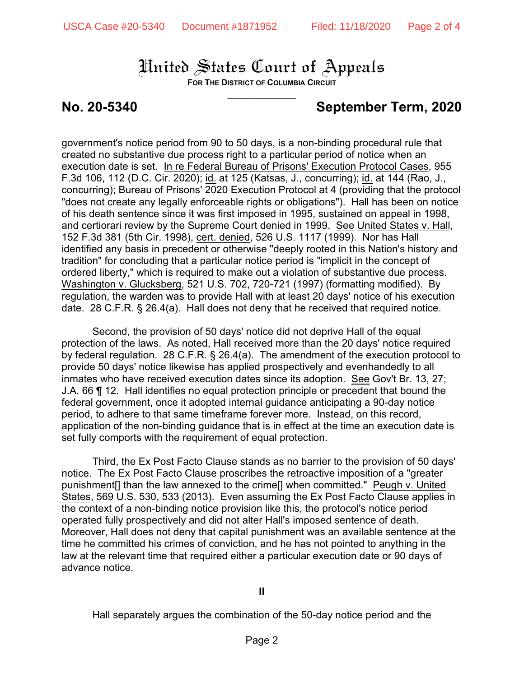**FOR THE DISTRICT OF COLUMBIA CIRCUIT** \_\_\_\_\_\_\_\_\_\_\_\_

## **No. 20-5340 September Term, 2020**

government's notice period from 90 to 50 days, is a non-binding procedural rule that created no substantive due process right to a particular period of notice when an execution date is set. In re Federal Bureau of Prisons' Execution Protocol Cases, 955 F.3d 106, 112 (D.C. Cir. 2020); id. at 125 (Katsas, J., concurring); id. at 144 (Rao, J., concurring); Bureau of Prisons' 2020 Execution Protocol at 4 (providing that the protocol "does not create any legally enforceable rights or obligations"). Hall has been on notice of his death sentence since it was first imposed in 1995, sustained on appeal in 1998, and certiorari review by the Supreme Court denied in 1999. See United States v. Hall, 152 F.3d 381 (5th Cir. 1998), cert. denied, 526 U.S. 1117 (1999). Nor has Hall identified any basis in precedent or otherwise "deeply rooted in this Nation's history and tradition" for concluding that a particular notice period is "implicit in the concept of ordered liberty," which is required to make out a violation of substantive due process. Washington v. Glucksberg, 521 U.S. 702, 720-721 (1997) (formatting modified). By regulation, the warden was to provide Hall with at least 20 days' notice of his execution date. 28 C.F.R. § 26.4(a). Hall does not deny that he received that required notice.

Second, the provision of 50 days' notice did not deprive Hall of the equal protection of the laws. As noted, Hall received more than the 20 days' notice required by federal regulation. 28 C.F.R. § 26.4(a). The amendment of the execution protocol to provide 50 days' notice likewise has applied prospectively and evenhandedly to all inmates who have received execution dates since its adoption. See Gov't Br. 13, 27; J.A. 66 ¶ 12. Hall identifies no equal protection principle or precedent that bound the federal government, once it adopted internal guidance anticipating a 90-day notice period, to adhere to that same timeframe forever more. Instead, on this record, application of the non-binding guidance that is in effect at the time an execution date is set fully comports with the requirement of equal protection.

Third, the Ex Post Facto Clause stands as no barrier to the provision of 50 days' notice. The Ex Post Facto Clause proscribes the retroactive imposition of a "greater punishment[] than the law annexed to the crime[] when committed." Peugh v. United States, 569 U.S. 530, 533 (2013). Even assuming the Ex Post Facto Clause applies in the context of a non-binding notice provision like this, the protocol's notice period operated fully prospectively and did not alter Hall's imposed sentence of death. Moreover, Hall does not deny that capital punishment was an available sentence at the time he committed his crimes of conviction, and he has not pointed to anything in the law at the relevant time that required either a particular execution date or 90 days of advance notice.

Hall separately argues the combination of the 50-day notice period and the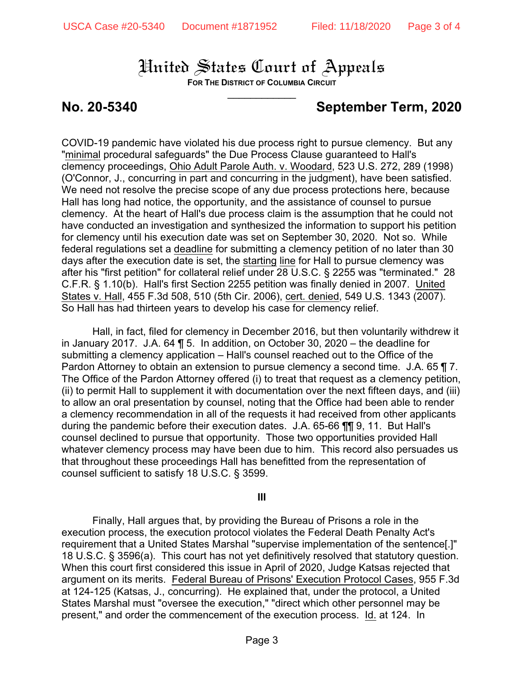**FOR THE DISTRICT OF COLUMBIA CIRCUIT** \_\_\_\_\_\_\_\_\_\_\_\_

## **No. 20-5340 September Term, 2020**

COVID-19 pandemic have violated his due process right to pursue clemency. But any "minimal procedural safeguards" the Due Process Clause guaranteed to Hall's clemency proceedings, Ohio Adult Parole Auth. v. Woodard, 523 U.S. 272, 289 (1998) (O'Connor, J., concurring in part and concurring in the judgment), have been satisfied. We need not resolve the precise scope of any due process protections here, because Hall has long had notice, the opportunity, and the assistance of counsel to pursue clemency. At the heart of Hall's due process claim is the assumption that he could not have conducted an investigation and synthesized the information to support his petition for clemency until his execution date was set on September 30, 2020. Not so. While federal regulations set a deadline for submitting a clemency petition of no later than 30 days after the execution date is set, the starting line for Hall to pursue clemency was after his "first petition" for collateral relief under 28 U.S.C. § 2255 was "terminated." 28 C.F.R. § 1.10(b). Hall's first Section 2255 petition was finally denied in 2007. United States v. Hall, 455 F.3d 508, 510 (5th Cir. 2006), cert. denied, 549 U.S. 1343 (2007). So Hall has had thirteen years to develop his case for clemency relief.

Hall, in fact, filed for clemency in December 2016, but then voluntarily withdrew it in January 2017. J.A. 64 ¶ 5. In addition, on October 30, 2020 – the deadline for submitting a clemency application – Hall's counsel reached out to the Office of the Pardon Attorney to obtain an extension to pursue clemency a second time. J.A. 65 ¶ 7. The Office of the Pardon Attorney offered (i) to treat that request as a clemency petition, (ii) to permit Hall to supplement it with documentation over the next fifteen days, and (iii) to allow an oral presentation by counsel, noting that the Office had been able to render a clemency recommendation in all of the requests it had received from other applicants during the pandemic before their execution dates. J.A. 65-66 ¶¶ 9, 11. But Hall's counsel declined to pursue that opportunity. Those two opportunities provided Hall whatever clemency process may have been due to him. This record also persuades us that throughout these proceedings Hall has benefitted from the representation of counsel sufficient to satisfy 18 U.S.C. § 3599.

### **III**

Finally, Hall argues that, by providing the Bureau of Prisons a role in the execution process, the execution protocol violates the Federal Death Penalty Act's requirement that a United States Marshal "supervise implementation of the sentence[.]" 18 U.S.C. § 3596(a). This court has not yet definitively resolved that statutory question. When this court first considered this issue in April of 2020, Judge Katsas rejected that argument on its merits. Federal Bureau of Prisons' Execution Protocol Cases, 955 F.3d at 124-125 (Katsas, J., concurring). He explained that, under the protocol, a United States Marshal must "oversee the execution," "direct which other personnel may be present," and order the commencement of the execution process. Id. at 124. In